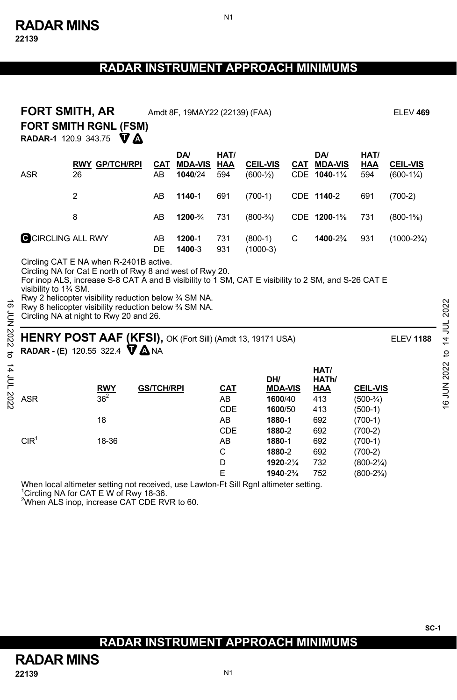| <b>FORT SMITH, AR</b><br>Amdt 8F, 19MAY22 (22139) (FAA)<br><b>FORT SMITH RGNL (FSM)</b><br><b>RADAR-1</b> 120.9 343.75 $\nabla$ <b>A</b>                                                                                                                 |                                                                                                                                                                                                        |                   |                                  |                          |                                                       |   |                                           |                                                                                     | <b>ELEV 469</b>                         |
|----------------------------------------------------------------------------------------------------------------------------------------------------------------------------------------------------------------------------------------------------------|--------------------------------------------------------------------------------------------------------------------------------------------------------------------------------------------------------|-------------------|----------------------------------|--------------------------|-------------------------------------------------------|---|-------------------------------------------|-------------------------------------------------------------------------------------|-----------------------------------------|
| <b>ASR</b>                                                                                                                                                                                                                                               | <b>RWY GP/TCH/RPI</b><br>26                                                                                                                                                                            | CAT<br>AB         | DA/<br><b>MDA-VIS</b><br>1040/24 | HAT/<br>HAA<br>594       | <b>CEIL-VIS</b><br>$(600 - \frac{1}{2})$              |   | <b>DA</b><br>CAT MDA-VIS<br>CDE 1040-11/4 | HAT/<br><b>HAA</b><br>594                                                           | <b>CEIL-VIS</b><br>$(600-1\frac{1}{4})$ |
|                                                                                                                                                                                                                                                          | $\overline{2}$                                                                                                                                                                                         | AB                | 1140-1                           | 691                      | $(700-1)$                                             |   | CDE 1140-2                                | 691                                                                                 | $(700-2)$                               |
|                                                                                                                                                                                                                                                          | 8                                                                                                                                                                                                      | AB                | 1200-3/4                         | 731                      | $(800-3/4)$                                           |   | CDE 1200-1%                               | 731                                                                                 | $(800-1\%)$                             |
|                                                                                                                                                                                                                                                          | <b>G</b> CIRCLING ALL RWY                                                                                                                                                                              | AB<br><b>DE</b>   | 1200-1<br>1400-3                 | 731<br>931               | $(800-1)$<br>$(1000-3)$                               | C | 1400-2%                                   | 931                                                                                 | $(1000-2\frac{3}{4})$                   |
| Rwy 2 helicopter visibility reduction below 3/4 SM NA.<br>Rwy 8 helicopter visibility reduction below 3/4 SM NA.<br>70N 2022<br>Circling NA at night to Rwy 20 and 26.<br>HENRY POST AAF (KFSI), OK (Fort Sill) (Amdt 13, 19171 USA)<br><b>ELEV 1188</b> |                                                                                                                                                                                                        |                   |                                  |                          |                                                       |   |                                           |                                                                                     |                                         |
|                                                                                                                                                                                                                                                          | <b>RADAR - (E)</b> 120.55 322.4 $\nabla \Delta$ NA                                                                                                                                                     |                   |                                  |                          |                                                       |   | HAT/                                      |                                                                                     |                                         |
| <b>ASR</b>                                                                                                                                                                                                                                               | <b>RWY</b><br>$36^2$<br>18                                                                                                                                                                             | <b>GS/TCH/RPI</b> |                                  | CAT<br>AB<br>CDE<br>AB   | DH/<br><b>MDA-VIS</b><br>1600/40<br>1600/50<br>1880-1 |   | HATh/<br><b>HAA</b><br>413<br>413<br>692  | <b>CEIL-VIS</b><br>$(500-3/4)$<br>$(500-1)$<br>$(700-1)$                            |                                         |
| CIR <sup>1</sup>                                                                                                                                                                                                                                         | 18-36                                                                                                                                                                                                  |                   |                                  | CDE<br>AB<br>C<br>D<br>E | 1880-2<br>1880-1<br>1880-2<br>1920-21/4<br>1940-2%    |   | 692<br>692<br>692<br>732<br>752           | $(700-2)$<br>$(700-1)$<br>$(700-2)$<br>$(800-2\frac{1}{4})$<br>$(800-2\frac{3}{4})$ |                                         |
|                                                                                                                                                                                                                                                          | When local altimeter setting not received, use Lawton-Ft Sill Rgnl altimeter setting.<br><sup>1</sup> Circling NA for CAT E W of Rwy 18-36.<br><sup>2</sup> When ALS inop, increase CAT CDE RVR to 60. |                   |                                  |                          |                                                       |   |                                           |                                                                                     |                                         |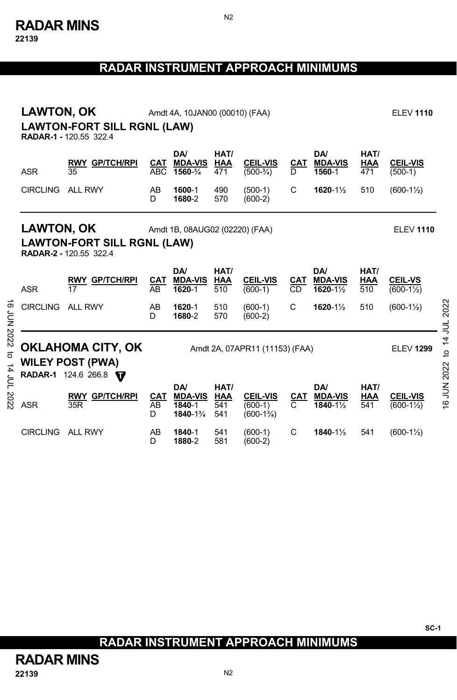**22139** 

# **RADAR INSTRUMENT APPROACH MINIMUMS**

N2

|                   | <b>LAWTON, OK</b><br>Amdt 4A, 10JAN00 (00010) (FAA)<br><b>LAWTON-FORT SILL RGNL (LAW)</b><br><b>RADAR-1 - 120.55 322.4</b> |                                                                            |                                                                      |                                            |                                  |                                                      |                  |                                          | <b>ELEV 1110</b>          |                                         |             |
|-------------------|----------------------------------------------------------------------------------------------------------------------------|----------------------------------------------------------------------------|----------------------------------------------------------------------|--------------------------------------------|----------------------------------|------------------------------------------------------|------------------|------------------------------------------|---------------------------|-----------------------------------------|-------------|
|                   | <b>ASR</b>                                                                                                                 | <b>RWY GP/TCH/RPI</b><br>35                                                | CAT<br><b>ABC</b>                                                    | <b>DA</b><br><b>MDA-VIS</b><br>1560-34     | HAT/<br><b>HAA</b><br>471        | <b>CEIL-VIS</b><br>$(500-3/4)$                       | <b>CAT</b><br>D  | DA/<br><b>MDA-VIS</b><br>1560-1          | HAT/<br>HAA<br>471        | <b>CEIL-VIS</b><br>$(500-1)$            |             |
|                   | <b>CIRCLING</b>                                                                                                            | ALL RWY                                                                    | AB<br>D                                                              | 1600-1<br>1680-2                           | 490<br>570                       | $(500-1)$<br>$(600-2)$                               | C                | 1620-11/2                                | 510                       | $(600-1\frac{1}{2})$                    |             |
|                   | <b>LAWTON, OK</b>                                                                                                          | <b>RADAR-2 - 120.55 322.4</b>                                              | Amdt 1B, 08AUG02 (02220) (FAA)<br><b>LAWTON-FORT SILL RGNL (LAW)</b> |                                            |                                  |                                                      |                  |                                          | <b>ELEV 1110</b>          |                                         |             |
|                   | <b>ASR</b>                                                                                                                 | <b>RWY GP/TCH/RPI</b><br>17                                                | <b>CAT</b><br>AB                                                     | DA/<br><b>MDA-VIS</b><br>1620-1            | HAT/<br><b>HAA</b><br>510        | <b>CEIL-VIS</b><br>$(600-1)$                         | CAT<br><b>CD</b> | <b>DA</b><br><b>MDA-VIS</b><br>1620-11/2 | HAT/<br><b>HAA</b><br>510 | <b>CEIL-VS</b><br>$(600-1\frac{1}{2})$  |             |
| <b>6 JUN 2022</b> | <b>CIRCLING</b>                                                                                                            | <b>ALL RWY</b>                                                             | AB<br>D.                                                             | 1620-1<br>1680-2                           | 510<br>570                       | $(600-1)$<br>$(600-2)$                               | C                | 1620-11/2                                | 510                       | $(600-1\frac{1}{2})$                    | 2022        |
| ฮ                 |                                                                                                                            | <b>OKLAHOMA CITY, OK</b><br><b>WILEY POST (PWA)</b><br>RADAR-1 124.6 266.8 | Amdt 2A, 07APR11 (11153) (FAA)                                       |                                            |                                  |                                                      |                  | <b>ELEV 1299</b>                         | 14 JUL<br>$\mathbf{a}$    |                                         |             |
| $14$ JUL 2022     | <b>ASR</b>                                                                                                                 | <b>RWY GP/TCH/RPI</b><br>35R                                               | CAT<br>AB<br>D                                                       | DA/<br><b>MDA-VIS</b><br>1840-1<br>1840-1% | HAT/<br><b>HAA</b><br>541<br>541 | <b>CEIL-VIS</b><br>$(600-1)$<br>$(600-1\frac{3}{4})$ | CAT<br>C         | <b>DA</b><br><b>MDA-VIS</b><br>1840-11/2 | HAT/<br>HAA<br>541        | <b>CEIL-VIS</b><br>$(600-1\frac{1}{2})$ | 16 JUN 2022 |
|                   | <b>CIRCLING</b>                                                                                                            | <b>ALL RWY</b>                                                             | AB<br>D                                                              | 1840-1<br>1880-2                           | 541<br>581                       | $(600-1)$<br>$(600-2)$                               | C                | 1840-11/2                                | 541                       | $(600-1\frac{1}{2})$                    |             |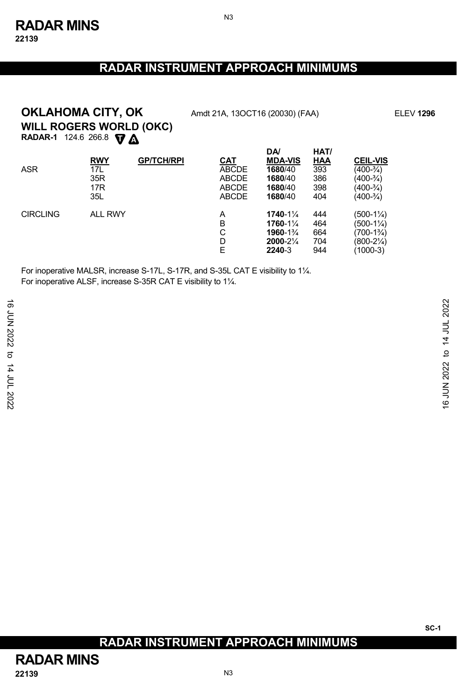N3

# **WILL ROGERS WORLD (OKC) OKLAHOMA CITY, OK** Amdt 21A, 13OCT16 (20030) (FAA) ELEV 1296

**RADAR-1** 124.6 266.8 **V** 

| <b>ASR</b>      | <u>RWY</u><br>17L             | <b>GP/TCH/RPI</b> | CAT<br><b>ABCDE</b>                          | <b>DA</b><br><b>MDA-VIS</b><br>1680/40                   | HAT/<br>HAA<br>393              | <b>CEIL-VIS</b><br>$(400-3/4)$                                          |
|-----------------|-------------------------------|-------------------|----------------------------------------------|----------------------------------------------------------|---------------------------------|-------------------------------------------------------------------------|
|                 | 35R<br>17 <sub>R</sub><br>35L |                   | <b>ABCDE</b><br><b>ABCDE</b><br><b>ABCDE</b> | 1680/40<br>1680/40<br>1680/40                            | 386<br>398<br>404               | (400-¾)<br>(400-¾)<br>$(400-3/4)$                                       |
| <b>CIRCLING</b> | <b>ALL RWY</b>                |                   | A<br>B<br>С<br>D<br>E                        | 1740-11/4<br>1760-11/4<br>1960-1%<br>2000-21/4<br>2240-3 | 444<br>464<br>664<br>704<br>944 | (500-1¼)<br>(500-1¼)<br>$(700-1\%)$<br>$(800-2\frac{1}{4})$<br>(1000-3) |

For inoperative MALSR, increase S-17L, S-17R, and S-35L CAT E visibility to 1¼. For inoperative ALSF, increase S-35R CAT E visibility to 1¼.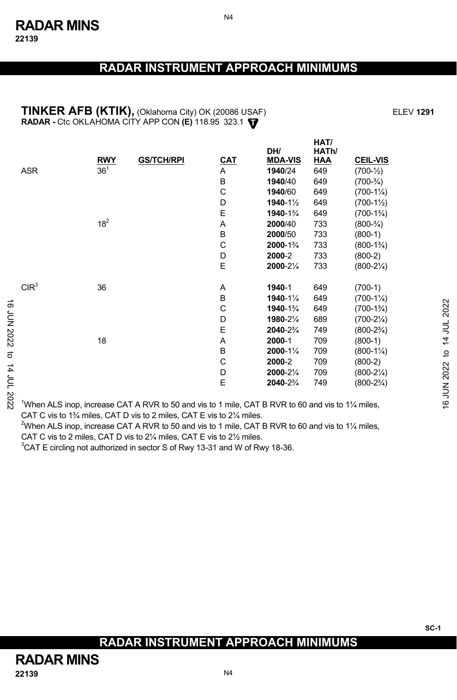N4

#### **TINKER AFB (KTIK),** (Oklahoma City) OK (20086 USAF) ELEV **1291 T RADAR -** Ctc OKLAHOMA CITY APP CON **(E)** 118.95 323.1

|                    |                                                                                                                           | <b>RWY</b>      | <b>GS/TCH/RPI</b> | <b>CAT</b> | DH/<br><b>MDA-VIS</b> | HAT/<br>HATh/<br><u>HAA</u> | <b>CEIL-VIS</b>      |              |
|--------------------|---------------------------------------------------------------------------------------------------------------------------|-----------------|-------------------|------------|-----------------------|-----------------------------|----------------------|--------------|
|                    | ASR                                                                                                                       | 36 <sup>1</sup> |                   | A          | 1940/24               | 649                         | $(700-1/2)$          |              |
|                    |                                                                                                                           |                 |                   | В          | 1940/40               | 649                         | $(700-3/4)$          |              |
|                    |                                                                                                                           |                 |                   | С          | 1940/60               | 649                         | $(700-1\%)$          |              |
|                    |                                                                                                                           |                 |                   | D          | 1940-11/2             | 649                         | $(700-1\frac{1}{2})$ |              |
|                    |                                                                                                                           |                 |                   | E          | 1940-1%               | 649                         | $(700-1\frac{3}{4})$ |              |
|                    |                                                                                                                           | $18^{2}$        |                   | Α          | 2000/40               | 733                         | $(800-3/4)$          |              |
|                    |                                                                                                                           |                 |                   | B          | 2000/50               | 733                         | $(800-1)$            |              |
|                    |                                                                                                                           |                 |                   | C          | 2000-1%               | 733                         | $(800-1\frac{3}{4})$ |              |
|                    |                                                                                                                           |                 |                   | D          | 2000-2                | 733                         | $(800-2)$            |              |
|                    |                                                                                                                           |                 |                   | E          | 2000-21/4             | 733                         | $(800-2\frac{1}{4})$ |              |
|                    | CIR <sup>3</sup>                                                                                                          | 36              |                   | Α          | 1940-1                | 649                         | $(700-1)$            |              |
|                    |                                                                                                                           |                 |                   | B          | 1940-11/4             | 649                         | $(700-1\frac{1}{4})$ |              |
|                    |                                                                                                                           |                 |                   | С          | 1940-1%               | 649                         | $(700-1\frac{3}{4})$ |              |
|                    |                                                                                                                           |                 |                   | D          | 1980-21/4             | 689                         | $(700-2\frac{1}{4})$ |              |
| <b>16 JUN 2022</b> |                                                                                                                           |                 |                   | E          | 2040-2%               | 749                         | $(800-2\frac{3}{4})$ |              |
|                    |                                                                                                                           | 18              |                   | Α          | 2000-1                | 709                         | $(800-1)$            | 14 JUL 2022  |
| ಕ                  |                                                                                                                           |                 |                   | B          | $2000 - 1\frac{1}{4}$ | 709                         | $(800-1\frac{1}{4})$ | $\mathbf{c}$ |
|                    |                                                                                                                           |                 |                   | С          | 2000-2                | 709                         | $(800-2)$            |              |
|                    |                                                                                                                           |                 |                   | D          | 2000-21/4             | 709                         | $(800-2\frac{1}{4})$ |              |
|                    |                                                                                                                           |                 |                   | E          | 2040-2%               | 749                         | $(800-2\frac{3}{4})$ |              |
| 14 JUL 2022        | <sup>1</sup> When ALS inop, increase CAT A RVR to 50 and vis to 1 mile, CAT B RVR to 60 and vis to 1 $\frac{1}{4}$ miles, |                 |                   |            |                       |                             |                      | 16 JUN 2022  |

1 When ALS inop, increase CAT A RVR to 50 and vis to 1 mile, CAT B RVR to 60 and vis to 1¼ miles, CAT C vis to 1¾ miles, CAT D vis to 2 miles, CAT E vis to 2¼ miles.

<sup>2</sup>When ALS inop, increase CAT A RVR to 50 and vis to 1 mile, CAT B RVR to 60 and vis to 1¼ miles, CAT C vis to 2 miles, CAT D vis to 2¼ miles, CAT E vis to 2½ miles.

 ${}^{3}$ CAT E circling not authorized in sector S of Rwy 13-31 and W of Rwy 18-36.

# **RADAR INSTRUMENT APPROACH MINIMUMS**

**SC-1**